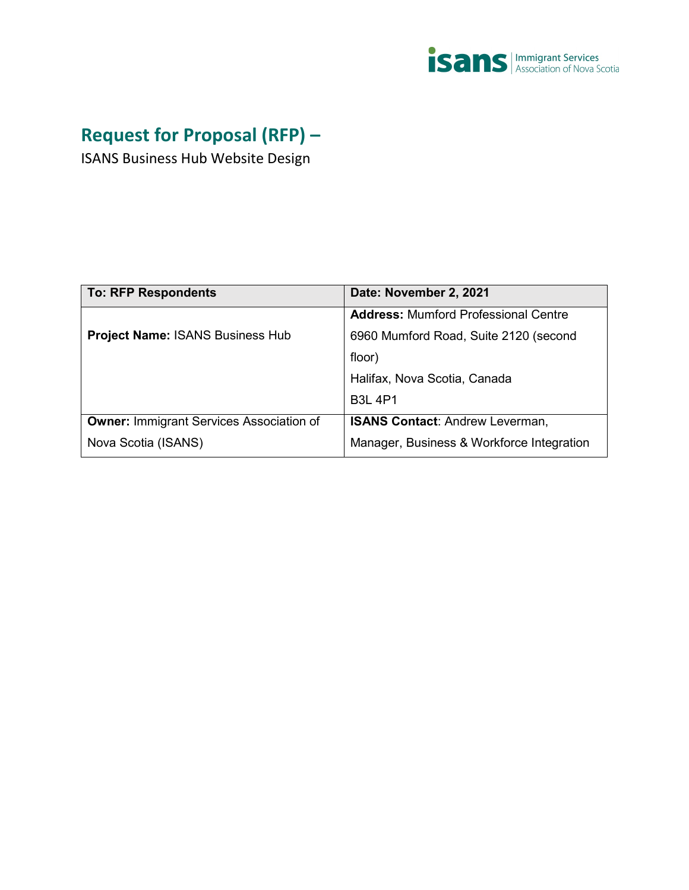

# **Request for Proposal (RFP) –**

ISANS Business Hub Website Design

| <b>To: RFP Respondents</b>                      | Date: November 2, 2021                      |
|-------------------------------------------------|---------------------------------------------|
|                                                 | <b>Address: Mumford Professional Centre</b> |
| <b>Project Name: ISANS Business Hub</b>         | 6960 Mumford Road, Suite 2120 (second       |
|                                                 | floor)                                      |
|                                                 | Halifax, Nova Scotia, Canada                |
|                                                 | <b>B3L 4P1</b>                              |
| <b>Owner: Immigrant Services Association of</b> | <b>ISANS Contact: Andrew Leverman,</b>      |
| Nova Scotia (ISANS)                             | Manager, Business & Workforce Integration   |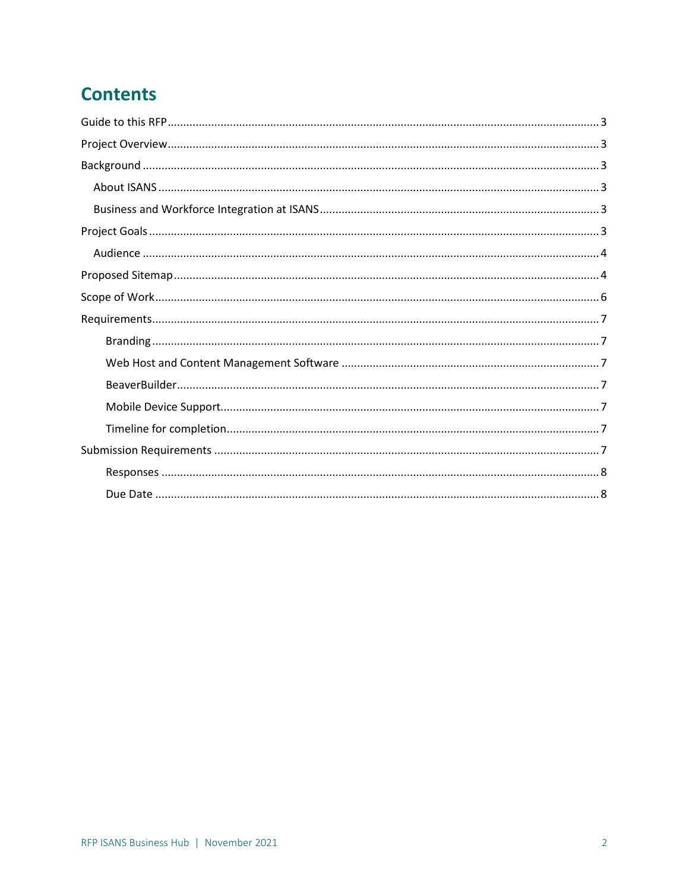# **Contents**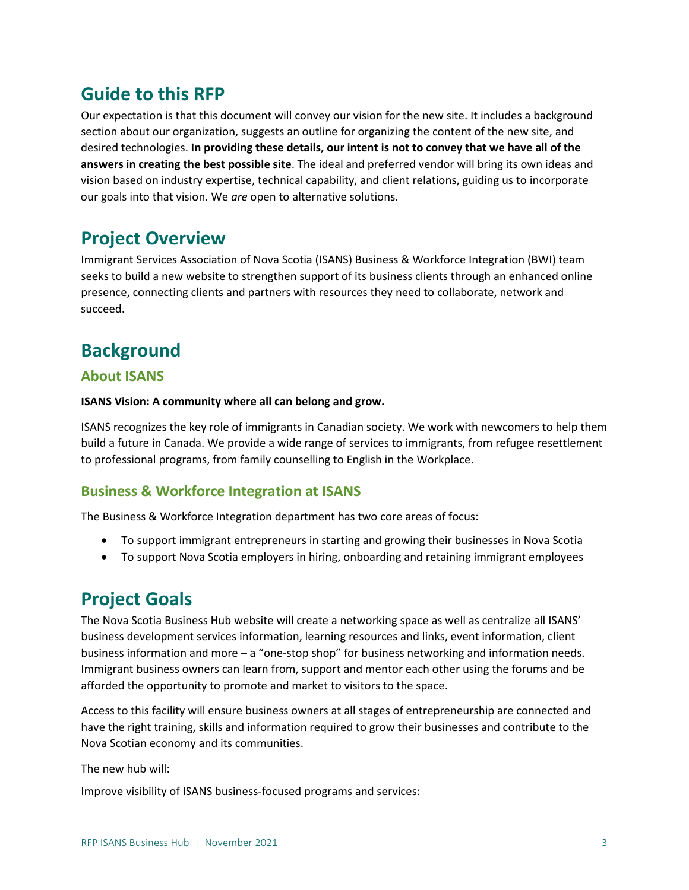# <span id="page-2-0"></span>**Guide to this RFP**

Our expectation is that this document will convey our vision for the new site. It includes a background section about our organization, suggests an outline for organizing the content of the new site, and desired technologies. **In providing these details, our intent is not to convey that we have all of the answers in creating the best possible site**. The ideal and preferred vendor will bring its own ideas and vision based on industry expertise, technical capability, and client relations, guiding us to incorporate our goals into that vision. We *are* open to alternative solutions.

### <span id="page-2-1"></span>**Project Overview**

Immigrant Services Association of Nova Scotia (ISANS) Business & Workforce Integration (BWI) team seeks to build a new website to strengthen support of its business clients through an enhanced online presence, connecting clients and partners with resources they need to collaborate, network and succeed.

### <span id="page-2-2"></span>**Background**

### <span id="page-2-3"></span>**About ISANS**

#### **ISANS Vision: A community where all can belong and grow.**

ISANS recognizes the key role of immigrants in Canadian society. We work with newcomers to help them build a future in Canada. We provide a wide range of services to immigrants, from refugee resettlement to professional programs, from family counselling to English in the Workplace.

### <span id="page-2-4"></span>**Business & Workforce Integration at ISANS**

The Business & Workforce Integration department has two core areas of focus:

- To support immigrant entrepreneurs in starting and growing their businesses in Nova Scotia
- To support Nova Scotia employers in hiring, onboarding and retaining immigrant employees

### <span id="page-2-5"></span>**Project Goals**

The Nova Scotia Business Hub website will create a networking space as well as centralize all ISANS' business development services information, learning resources and links, event information, client business information and more – a "one-stop shop" for business networking and information needs. Immigrant business owners can learn from, support and mentor each other using the forums and be afforded the opportunity to promote and market to visitors to the space.

Access to this facility will ensure business owners at all stages of entrepreneurship are connected and have the right training, skills and information required to grow their businesses and contribute to the Nova Scotian economy and its communities.

The new hub will:

Improve visibility of ISANS business-focused programs and services: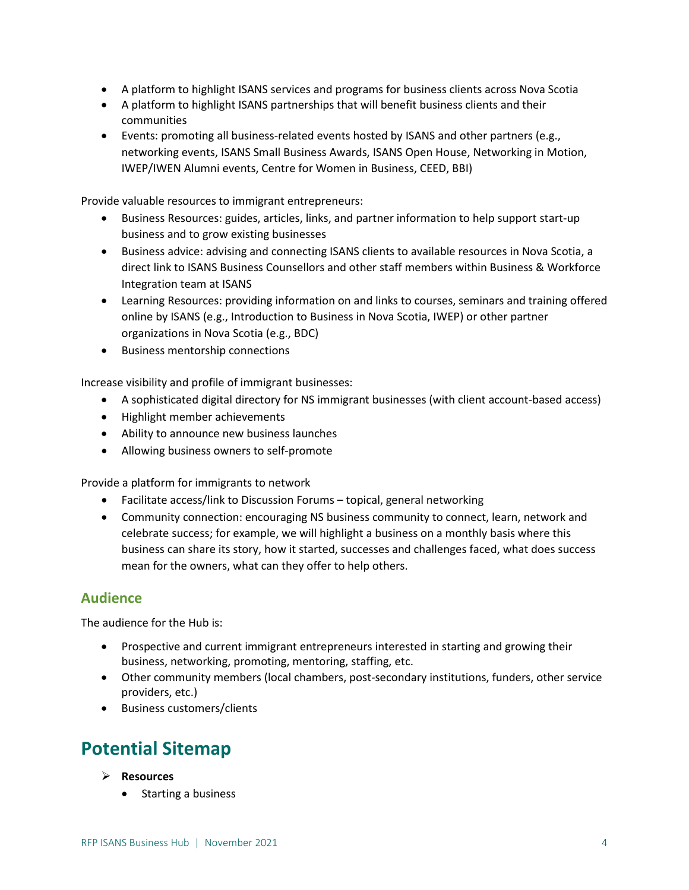- A platform to highlight ISANS services and programs for business clients across Nova Scotia
- A platform to highlight ISANS partnerships that will benefit business clients and their communities
- Events: promoting all business-related events hosted by ISANS and other partners (e.g., networking events, ISANS Small Business Awards, ISANS Open House, Networking in Motion, IWEP/IWEN Alumni events, Centre for Women in Business, CEED, BBI)

Provide valuable resources to immigrant entrepreneurs:

- Business Resources: guides, articles, links, and partner information to help support start-up business and to grow existing businesses
- Business advice: advising and connecting ISANS clients to available resources in Nova Scotia, a direct link to ISANS Business Counsellors and other staff members within Business & Workforce Integration team at ISANS
- Learning Resources: providing information on and links to courses, seminars and training offered online by ISANS (e.g., Introduction to Business in Nova Scotia, IWEP) or other partner organizations in Nova Scotia (e.g., BDC)
- Business mentorship connections

Increase visibility and profile of immigrant businesses:

- A sophisticated digital directory for NS immigrant businesses (with client account-based access)
- Highlight member achievements
- Ability to announce new business launches
- Allowing business owners to self-promote

Provide a platform for immigrants to network

- Facilitate access/link to Discussion Forums topical, general networking
- Community connection: encouraging NS business community to connect, learn, network and celebrate success; for example, we will highlight a business on a monthly basis where this business can share its story, how it started, successes and challenges faced, what does success mean for the owners, what can they offer to help others.

### <span id="page-3-0"></span>**Audience**

The audience for the Hub is:

- Prospective and current immigrant entrepreneurs interested in starting and growing their business, networking, promoting, mentoring, staffing, etc.
- Other community members (local chambers, post-secondary institutions, funders, other service providers, etc.)
- Business customers/clients

## <span id="page-3-1"></span>**Potential Sitemap**

- **Resources**
	- Starting a business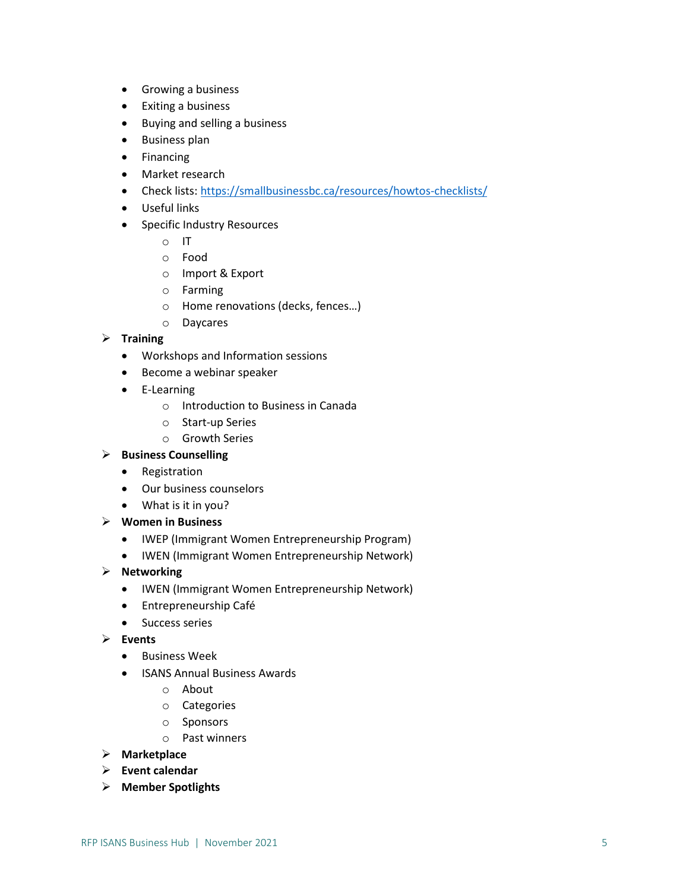- Growing a business
- Exiting a business
- Buying and selling a business
- Business plan
- Financing
- Market research
- Check lists:<https://smallbusinessbc.ca/resources/howtos-checklists/>
- Useful links
- Specific Industry Resources
	- o IT
	- o Food
	- o Import & Export
	- o Farming
	- o Home renovations (decks, fences…)
	- o Daycares

#### **Training**

- Workshops and Information sessions
- Become a webinar speaker
- E-Learning
	- o Introduction to Business in Canada
	- o Start-up Series
	- o Growth Series

#### **Business Counselling**

- Registration
- Our business counselors
- What is it in you?
- **Women in Business**
	- IWEP (Immigrant Women Entrepreneurship Program)
	- IWEN (Immigrant Women Entrepreneurship Network)

#### **Networking**

- IWEN (Immigrant Women Entrepreneurship Network)
- Entrepreneurship Café
- Success series
- **Events**
	- Business Week
	- ISANS Annual Business Awards
		- o About
		- o Categories
		- o Sponsors
		- o Past winners
- **Marketplace**
- **Event calendar**
- **Member Spotlights**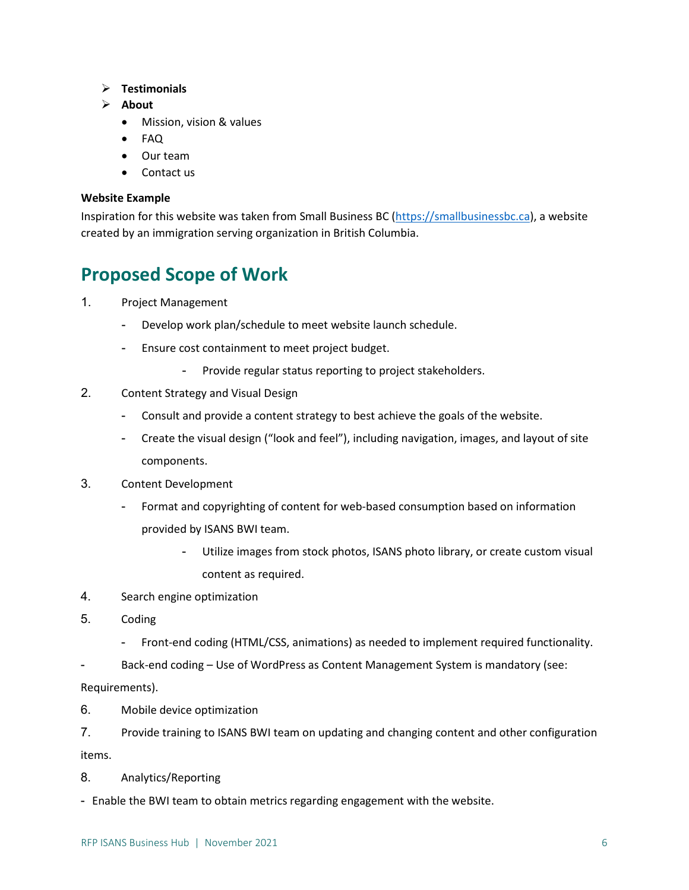- **Testimonials**
- **About**
	- Mission, vision & values
	- FAQ
	- Our team
	- Contact us

#### **Website Example**

Inspiration for this website was taken from Small Business BC [\(https://smallbusinessbc.ca\)](https://smallbusinessbc.ca/), a website created by an immigration serving organization in British Columbia.

### <span id="page-5-0"></span>**Proposed Scope of Work**

- 1. Project Management
	- Develop work plan/schedule to meet website launch schedule.
	- Ensure cost containment to meet project budget.
		- Provide regular status reporting to project stakeholders.
- 2. Content Strategy and Visual Design
	- Consult and provide a content strategy to best achieve the goals of the website.
	- Create the visual design ("look and feel"), including navigation, images, and layout of site components.
- 3. Content Development
	- Format and copyrighting of content for web-based consumption based on information provided by ISANS BWI team.
		- Utilize images from stock photos, ISANS photo library, or create custom visual content as required.
- 4. Search engine optimization
- 5. Coding
	- Front-end coding (HTML/CSS, animations) as needed to implement required functionality.
- Back-end coding Use of WordPress as Content Management System is mandatory (see:

Requirements).

- 6. Mobile device optimization
- 7. Provide training to ISANS BWI team on updating and changing content and other configuration items.
- 8. Analytics/Reporting
- Enable the BWI team to obtain metrics regarding engagement with the website.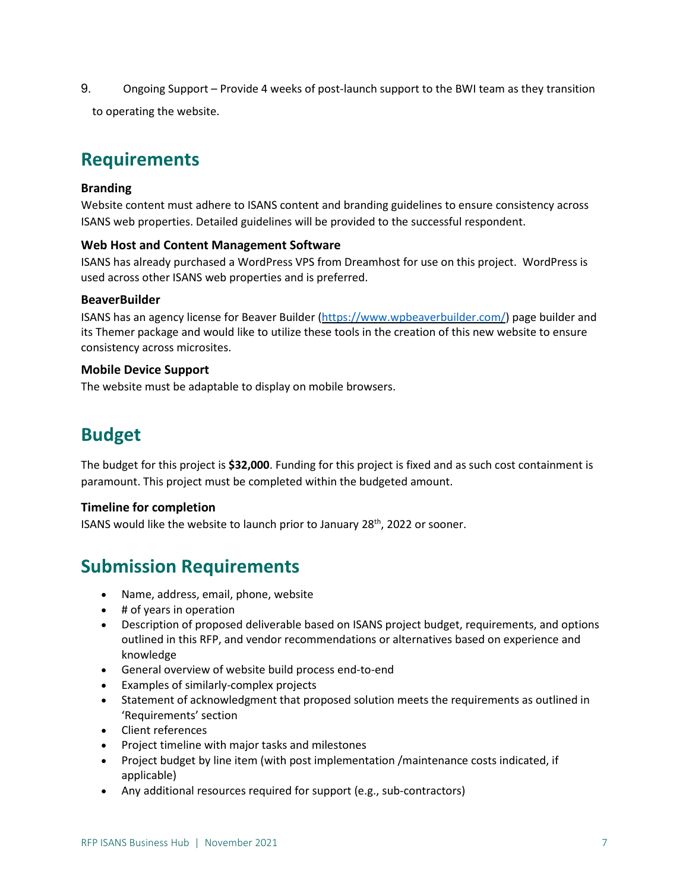9. Ongoing Support – Provide 4 weeks of post-launch support to the BWI team as they transition

<span id="page-6-0"></span>to operating the website.

# **Requirements**

#### <span id="page-6-1"></span>**Branding**

Website content must adhere to ISANS content and branding guidelines to ensure consistency across ISANS web properties. Detailed guidelines will be provided to the successful respondent.

#### <span id="page-6-2"></span>**Web Host and Content Management Software**

<span id="page-6-3"></span>ISANS has already purchased a WordPress VPS from Dreamhost for use on this project. WordPress is used across other ISANS web properties and is preferred.

#### **BeaverBuilder**

ISANS has an agency license for Beaver Builder [\(https://www.wpbeaverbuilder.com/\)](https://www.wpbeaverbuilder.com/) page builder and its Themer package and would like to utilize these tools in the creation of this new website to ensure consistency across microsites.

#### <span id="page-6-4"></span>**Mobile Device Support**

The website must be adaptable to display on mobile browsers.

## **Budget**

The budget for this project is **\$32,000**. Funding for this project is fixed and as such cost containment is paramount. This project must be completed within the budgeted amount.

#### <span id="page-6-5"></span>**Timeline for completion**

ISANS would like the website to launch prior to January 28<sup>th</sup>, 2022 or sooner.

# <span id="page-6-6"></span>**Submission Requirements**

- Name, address, email, phone, website
- # of years in operation
- Description of proposed deliverable based on ISANS project budget, requirements, and options outlined in this RFP, and vendor recommendations or alternatives based on experience and knowledge
- General overview of website build process end-to-end
- Examples of similarly-complex projects
- Statement of acknowledgment that proposed solution meets the requirements as outlined in 'Requirements' section
- Client references
- Project timeline with major tasks and milestones
- Project budget by line item (with post implementation /maintenance costs indicated, if applicable)
- Any additional resources required for support (e.g., sub-contractors)